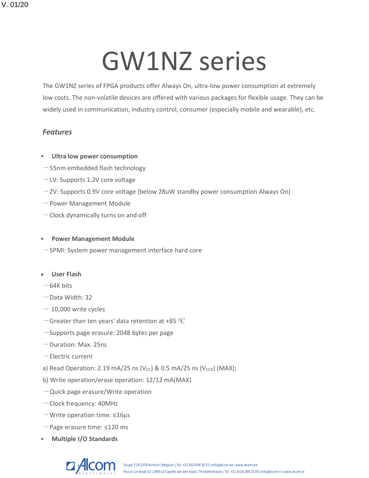# GW1NZ series

The GW1NZ series of FPGA products offer Always On, ultra-low power consumption at extremely low costs. The non-volatile devices are offered with various packages for flexible usage. They can be widely used in communication, industry control, consumer (especially mobile and wearable), etc.

### *Features*

#### **Ultra low power consumption**

- -55nm embedded flash technology
- $-$  LV: Supports 1.2V core voltage
- $-zV$ : Supports 0.9V core voltage (below 28uW standby power consumption Always On)
- -Power Management Module
- Clock dynamically turns on and off

#### ▪ **Power Management Module**

- -SPMI: System power management interface hard core
- **User Flash**
- $-64K$  hits
- $-$ Data Width: 32
- $-$  10,000 write cycles
- $-$  Greater than ten years' data retention at +85 °C
- -Supports page erasure: 2048 bytes per page
- -Duration: Max. 25ns
- -Electric current
- a) Read Operation: 2.19 mA/25 ns (V<sub>CC</sub>) & 0.5 mA/25 ns (V<sub>CCX</sub>) (MAX);
- b) Write operation/erase operation: 12/12 mA(MAX)
- $-Q$ uick page erasure/Write operation
- Clock frequency: 40MHz
- $-W$ rite operation time:  $\leq 16 \mu s$
- -Page erasure time: ≤120 ms
- **Multiple I/O Standards**

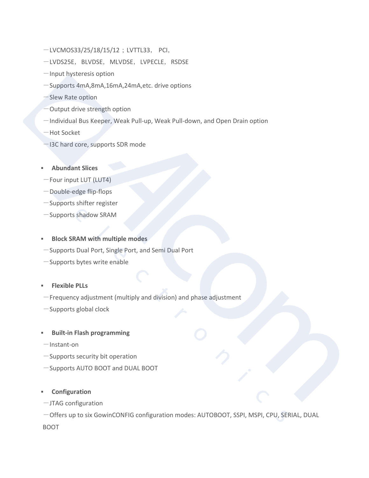- -LVCMOS33/25/18/15/12; LVTTL33, PCI,
- -LVDS25E, BLVDSE, MLVDSE, LVPECLE, RSDSE
- -Input hysteresis option
- -Supports 4mA,8mA,16mA,24mA,etc. drive options
- -Slew Rate option
- -Output drive strength option
- -Individual Bus Keeper, Weak Pull-up, Weak Pull-down, and Open Drain option
- -Hot Socket
- -I3C hard core, supports SDR mode
- **Abundant Slices**
- $-$  Four input LUT (LUT4)
- Double-edge flip-flops
- -Supports shifter register
- -Supports shadow SRAM

#### ▪ **Block SRAM with multiple modes**

- -Supports Dual Port, Single Port, and Semi Dual Port
- $-$ Supports bytes write enable
- **Flexible PLLs**
- $-$  Frequency adjustment (multiply and division) and phase adjustment
- $-$ Supports global clock
- **Built-in Flash programming**
- $-$ Instant-on
- $-$  Supports security bit operation
- -Supports AUTO BOOT and DUAL BOOT
- **Configuration**
- $-JTAG$  configuration

-Offers up to six GowinCONFIG configuration modes: AUTOBOOT, SSPI, MSPI, CPU, SERIAL, DUAL BOOT